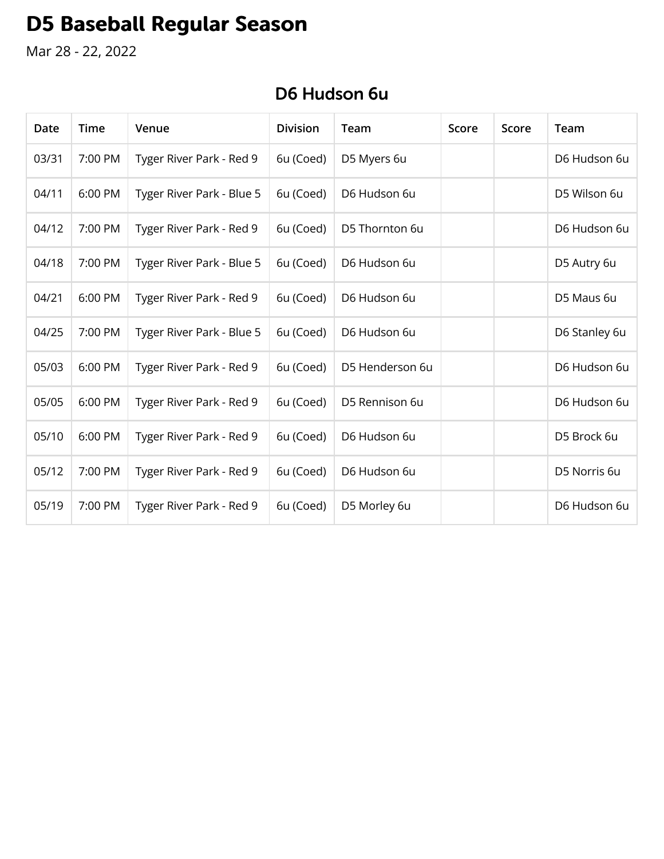# **D5 Baseball Regular Season**

Mar 28 - 22, 2022

| Date  | Time    | Venue                     | <b>Division</b> | Team            | Score | Score | Team          |
|-------|---------|---------------------------|-----------------|-----------------|-------|-------|---------------|
| 03/31 | 7:00 PM | Tyger River Park - Red 9  | 6u (Coed)       | D5 Myers 6u     |       |       | D6 Hudson 6u  |
| 04/11 | 6:00 PM | Tyger River Park - Blue 5 | 6u (Coed)       | D6 Hudson 6u    |       |       | D5 Wilson 6u  |
| 04/12 | 7:00 PM | Tyger River Park - Red 9  | 6u (Coed)       | D5 Thornton 6u  |       |       | D6 Hudson 6u  |
| 04/18 | 7:00 PM | Tyger River Park - Blue 5 | 6u (Coed)       | D6 Hudson 6u    |       |       | D5 Autry 6u   |
| 04/21 | 6:00 PM | Tyger River Park - Red 9  | 6u (Coed)       | D6 Hudson 6u    |       |       | D5 Maus 6u    |
| 04/25 | 7:00 PM | Tyger River Park - Blue 5 | 6u (Coed)       | D6 Hudson 6u    |       |       | D6 Stanley 6u |
| 05/03 | 6:00 PM | Tyger River Park - Red 9  | 6u (Coed)       | D5 Henderson 6u |       |       | D6 Hudson 6u  |
| 05/05 | 6:00 PM | Tyger River Park - Red 9  | 6u (Coed)       | D5 Rennison 6u  |       |       | D6 Hudson 6u  |
| 05/10 | 6:00 PM | Tyger River Park - Red 9  | 6u (Coed)       | D6 Hudson 6u    |       |       | D5 Brock 6u   |
| 05/12 | 7:00 PM | Tyger River Park - Red 9  | 6u (Coed)       | D6 Hudson 6u    |       |       | D5 Norris 6u  |
| 05/19 | 7:00 PM | Tyger River Park - Red 9  | 6u (Coed)       | D5 Morley 6u    |       |       | D6 Hudson 6u  |

#### D6 Hudson 6u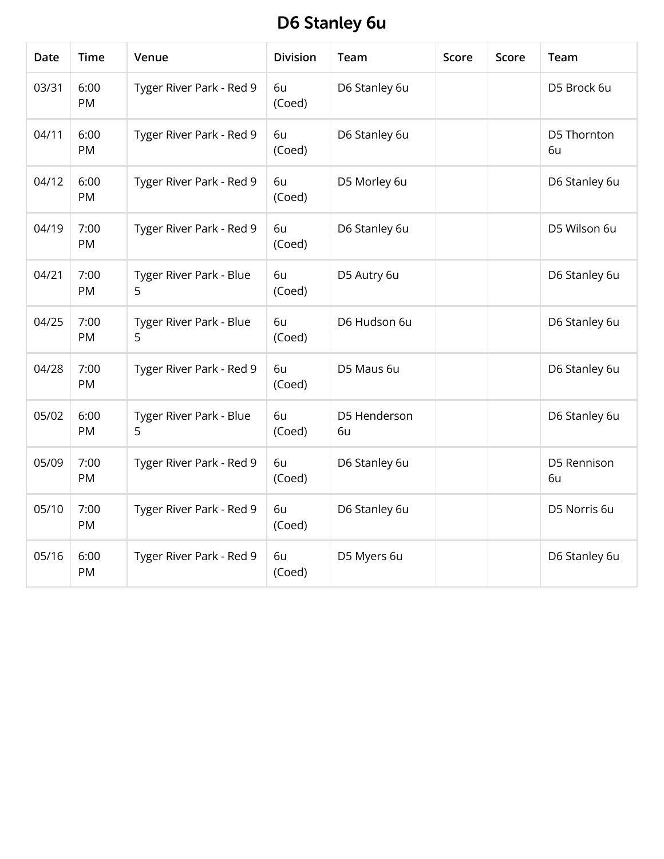# D6 Stanley 6u

| <b>Date</b> | <b>Time</b> | Venue                        | <b>Division</b> | Team               | <b>Score</b> | Score | Team              |
|-------------|-------------|------------------------------|-----------------|--------------------|--------------|-------|-------------------|
| 03/31       | 6:00<br>PM  | Tyger River Park - Red 9     | 6u<br>(Coed)    | D6 Stanley 6u      |              |       | D5 Brock 6u       |
| 04/11       | 6:00<br>PM  | Tyger River Park - Red 9     | 6u<br>(Coed)    | D6 Stanley 6u      |              |       | D5 Thornton<br>6u |
| 04/12       | 6:00<br>PM  | Tyger River Park - Red 9     | 6u<br>(Coed)    | D5 Morley 6u       |              |       | D6 Stanley 6u     |
| 04/19       | 7:00<br>PM  | Tyger River Park - Red 9     | 6u<br>(Coed)    | D6 Stanley 6u      |              |       | D5 Wilson 6u      |
| 04/21       | 7:00<br>PM  | Tyger River Park - Blue<br>5 | 6u<br>(Coed)    | D5 Autry 6u        |              |       | D6 Stanley 6u     |
| 04/25       | 7:00<br>PM  | Tyger River Park - Blue<br>5 | 6u<br>(Coed)    | D6 Hudson 6u       |              |       | D6 Stanley 6u     |
| 04/28       | 7:00<br>PM  | Tyger River Park - Red 9     | 6u<br>(Coed)    | D5 Maus 6u         |              |       | D6 Stanley 6u     |
| 05/02       | 6:00<br>PM  | Tyger River Park - Blue<br>5 | 6u<br>(Coed)    | D5 Henderson<br>6u |              |       | D6 Stanley 6u     |
| 05/09       | 7:00<br>PM  | Tyger River Park - Red 9     | 6u<br>(Coed)    | D6 Stanley 6u      |              |       | D5 Rennison<br>6u |
| 05/10       | 7:00<br>PM  | Tyger River Park - Red 9     | 6u<br>(Coed)    | D6 Stanley 6u      |              |       | D5 Norris 6u      |
| 05/16       | 6:00<br>PM  | Tyger River Park - Red 9     | 6u<br>(Coed)    | D5 Myers 6u        |              |       | D6 Stanley 6u     |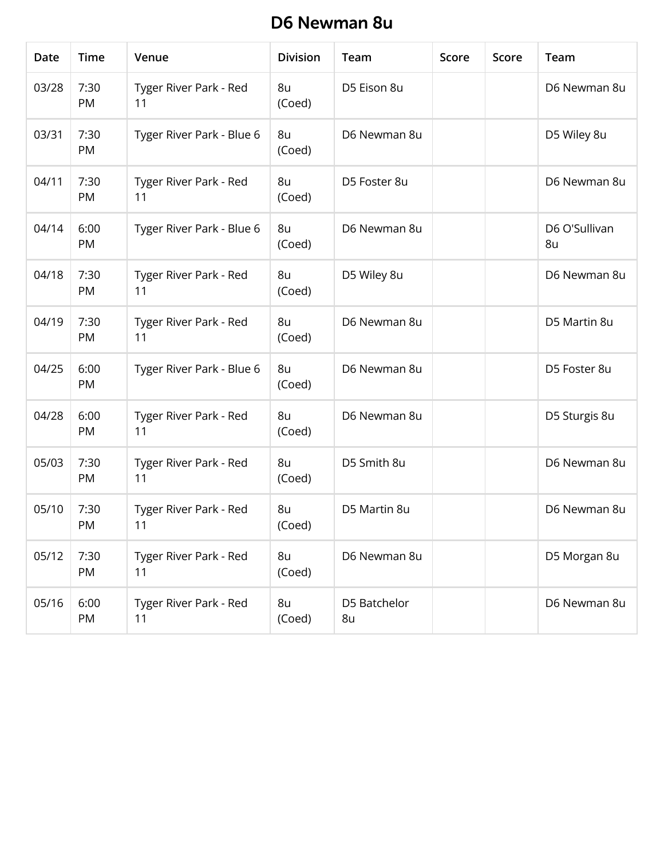#### D6 Newman 8u

| Date  | <b>Time</b> | Venue                        | <b>Division</b> | Team               | Score | Score | Team                |
|-------|-------------|------------------------------|-----------------|--------------------|-------|-------|---------------------|
| 03/28 | 7:30<br>PM  | Tyger River Park - Red<br>11 | 8u<br>(Coed)    | D5 Eison 8u        |       |       | D6 Newman 8u        |
| 03/31 | 7:30<br>PM  | Tyger River Park - Blue 6    | 8u<br>(Coed)    | D6 Newman 8u       |       |       | D5 Wiley 8u         |
| 04/11 | 7:30<br>PM  | Tyger River Park - Red<br>11 | 8u<br>(Coed)    | D5 Foster 8u       |       |       | D6 Newman 8u        |
| 04/14 | 6:00<br>PM  | Tyger River Park - Blue 6    | 8u<br>(Coed)    | D6 Newman 8u       |       |       | D6 O'Sullivan<br>8u |
| 04/18 | 7:30<br>PM  | Tyger River Park - Red<br>11 | 8u<br>(Coed)    | D5 Wiley 8u        |       |       | D6 Newman 8u        |
| 04/19 | 7:30<br>PM  | Tyger River Park - Red<br>11 | 8u<br>(Coed)    | D6 Newman 8u       |       |       | D5 Martin 8u        |
| 04/25 | 6:00<br>PM  | Tyger River Park - Blue 6    | 8u<br>(Coed)    | D6 Newman 8u       |       |       | D5 Foster 8u        |
| 04/28 | 6:00<br>PM  | Tyger River Park - Red<br>11 | 8u<br>(Coed)    | D6 Newman 8u       |       |       | D5 Sturgis 8u       |
| 05/03 | 7:30<br>PM  | Tyger River Park - Red<br>11 | 8u<br>(Coed)    | D5 Smith 8u        |       |       | D6 Newman 8u        |
| 05/10 | 7:30<br>PM  | Tyger River Park - Red<br>11 | 8u<br>(Coed)    | D5 Martin 8u       |       |       | D6 Newman 8u        |
| 05/12 | 7:30<br>PM  | Tyger River Park - Red<br>11 | 8u<br>(Coed)    | D6 Newman 8u       |       |       | D5 Morgan 8u        |
| 05/16 | 6:00<br>PM  | Tyger River Park - Red<br>11 | 8u<br>(Coed)    | D5 Batchelor<br>8u |       |       | D6 Newman 8u        |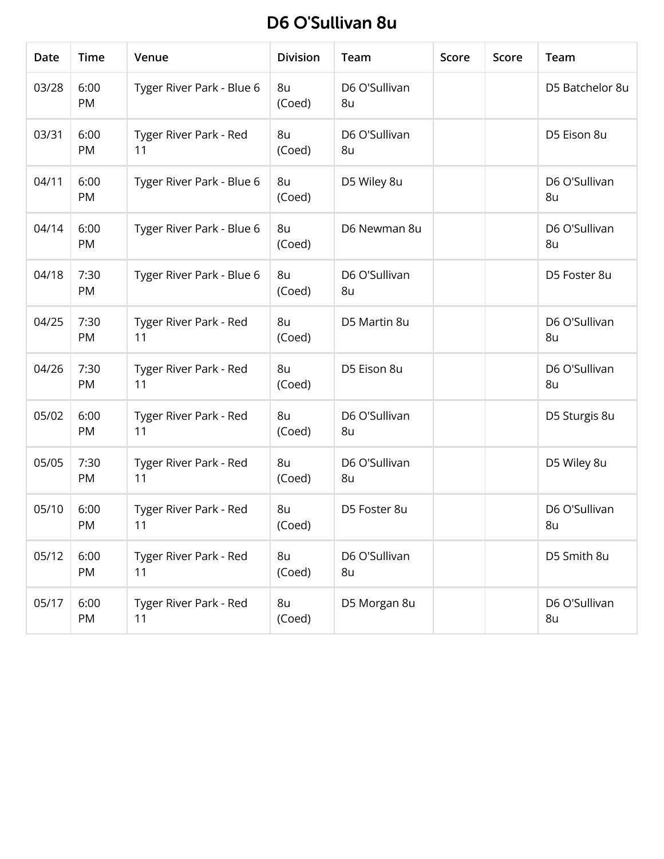## D6 O'Sullivan 8u

| Date  | <b>Time</b> | Venue                        | <b>Division</b> | Team                | Score | Score | Team                |
|-------|-------------|------------------------------|-----------------|---------------------|-------|-------|---------------------|
| 03/28 | 6:00<br>PM  | Tyger River Park - Blue 6    | 8u<br>(Coed)    | D6 O'Sullivan<br>8u |       |       | D5 Batchelor 8u     |
| 03/31 | 6:00<br>PM  | Tyger River Park - Red<br>11 | 8u<br>(Coed)    | D6 O'Sullivan<br>8u |       |       | D5 Eison 8u         |
| 04/11 | 6:00<br>PM  | Tyger River Park - Blue 6    | 8u<br>(Coed)    | D5 Wiley 8u         |       |       | D6 O'Sullivan<br>8u |
| 04/14 | 6:00<br>PM  | Tyger River Park - Blue 6    | 8u<br>(Coed)    | D6 Newman 8u        |       |       | D6 O'Sullivan<br>8u |
| 04/18 | 7:30<br>PM  | Tyger River Park - Blue 6    | 8u<br>(Coed)    | D6 O'Sullivan<br>8u |       |       | D5 Foster 8u        |
| 04/25 | 7:30<br>PM  | Tyger River Park - Red<br>11 | 8u<br>(Coed)    | D5 Martin 8u        |       |       | D6 O'Sullivan<br>8u |
| 04/26 | 7:30<br>PM  | Tyger River Park - Red<br>11 | 8u<br>(Coed)    | D5 Eison 8u         |       |       | D6 O'Sullivan<br>8u |
| 05/02 | 6:00<br>PM  | Tyger River Park - Red<br>11 | 8u<br>(Coed)    | D6 O'Sullivan<br>8u |       |       | D5 Sturgis 8u       |
| 05/05 | 7:30<br>PM  | Tyger River Park - Red<br>11 | 8u<br>(Coed)    | D6 O'Sullivan<br>8u |       |       | D5 Wiley 8u         |
| 05/10 | 6:00<br>PM  | Tyger River Park - Red<br>11 | 8u<br>(Coed)    | D5 Foster 8u        |       |       | D6 O'Sullivan<br>8u |
| 05/12 | 6:00<br>PM  | Tyger River Park - Red<br>11 | 8u<br>(Coed)    | D6 O'Sullivan<br>8u |       |       | D5 Smith 8u         |
| 05/17 | 6:00<br>PM  | Tyger River Park - Red<br>11 | 8u<br>(Coed)    | D5 Morgan 8u        |       |       | D6 O'Sullivan<br>8u |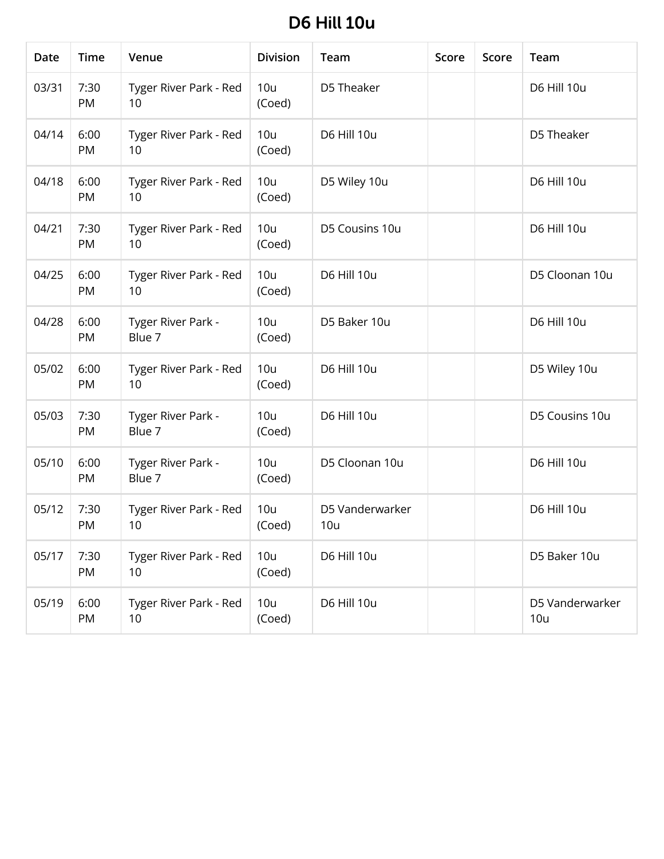## **D6 Hill 10u**

| Date  | <b>Time</b> | Venue                        | <b>Division</b> | Team                   | Score | Score | Team                   |
|-------|-------------|------------------------------|-----------------|------------------------|-------|-------|------------------------|
| 03/31 | 7:30<br>PM  | Tyger River Park - Red<br>10 | 10u<br>(Coed)   | D5 Theaker             |       |       | D6 Hill 10u            |
| 04/14 | 6:00<br>PM  | Tyger River Park - Red<br>10 | 10u<br>(Coed)   | D6 Hill 10u            |       |       | D5 Theaker             |
| 04/18 | 6:00<br>PM  | Tyger River Park - Red<br>10 | 10u<br>(Coed)   | D5 Wiley 10u           |       |       | D6 Hill 10u            |
| 04/21 | 7:30<br>PM  | Tyger River Park - Red<br>10 | 10u<br>(Coed)   | D5 Cousins 10u         |       |       | D6 Hill 10u            |
| 04/25 | 6:00<br>PM  | Tyger River Park - Red<br>10 | 10u<br>(Coed)   | D6 Hill 10u            |       |       | D5 Cloonan 10u         |
| 04/28 | 6:00<br>PM  | Tyger River Park -<br>Blue 7 | 10u<br>(Coed)   | D5 Baker 10u           |       |       | D6 Hill 10u            |
| 05/02 | 6:00<br>PM  | Tyger River Park - Red<br>10 | 10u<br>(Coed)   | D6 Hill 10u            |       |       | D5 Wiley 10u           |
| 05/03 | 7:30<br>PM  | Tyger River Park -<br>Blue 7 | 10u<br>(Coed)   | D6 Hill 10u            |       |       | D5 Cousins 10u         |
| 05/10 | 6:00<br>PM  | Tyger River Park -<br>Blue 7 | 10u<br>(Coed)   | D5 Cloonan 10u         |       |       | D6 Hill 10u            |
| 05/12 | 7:30<br>PM  | Tyger River Park - Red<br>10 | 10u<br>(Coed)   | D5 Vanderwarker<br>10u |       |       | D6 Hill 10u            |
| 05/17 | 7:30<br>PM  | Tyger River Park - Red<br>10 | 10u<br>(Coed)   | D6 Hill 10u            |       |       | D5 Baker 10u           |
| 05/19 | 6:00<br>PM  | Tyger River Park - Red<br>10 | 10u<br>(Coed)   | D6 Hill 10u            |       |       | D5 Vanderwarker<br>10u |